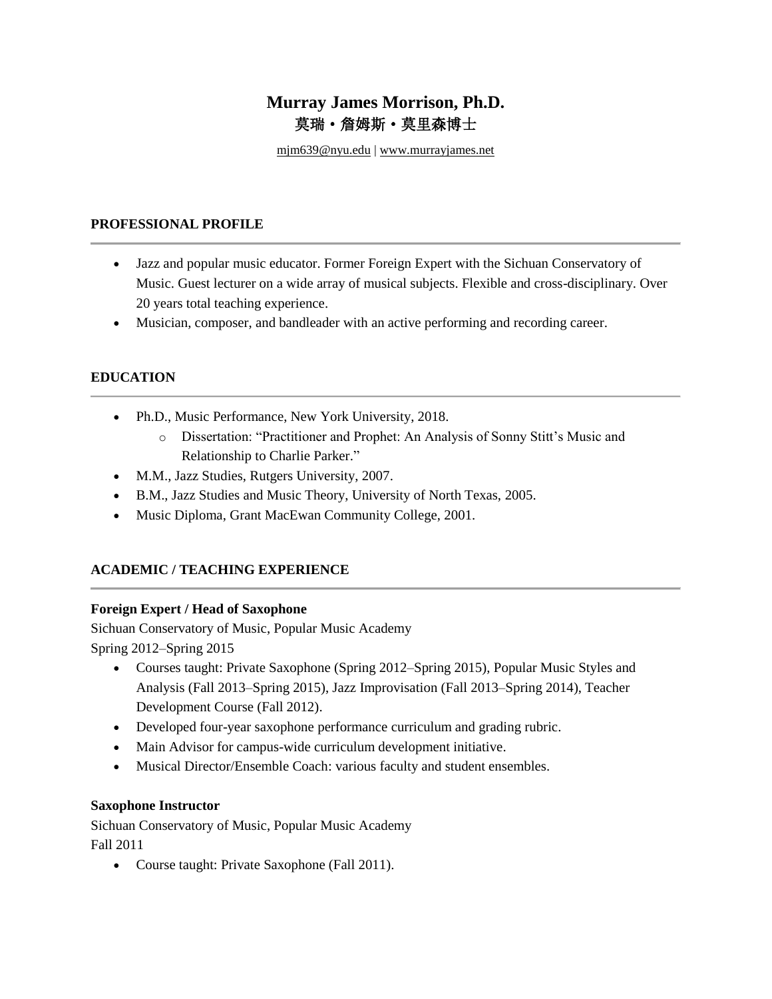# **Murray James Morrison, Ph.D.** 莫瑞·詹姆斯·莫里森博士

mjm639@nyu.edu | [www.murrayjames.net](http://www.murrayjames.net/)

#### **PROFESSIONAL PROFILE**

- Jazz and popular music educator. Former Foreign Expert with the Sichuan Conservatory of Music. Guest lecturer on a wide array of musical subjects. Flexible and cross-disciplinary. Over 20 years total teaching experience.
- Musician, composer, and bandleader with an active performing and recording career.

# **EDUCATION**

- Ph.D., Music Performance, New York University, 2018.
	- o Dissertation: "Practitioner and Prophet: An Analysis of Sonny Stitt's Music and Relationship to Charlie Parker."
- M.M., Jazz Studies, Rutgers University, 2007.
- B.M., Jazz Studies and Music Theory, University of North Texas, 2005.
- Music Diploma, Grant MacEwan Community College, 2001.

# **ACADEMIC / TEACHING EXPERIENCE**

### **Foreign Expert / Head of Saxophone**

Sichuan Conservatory of Music, Popular Music Academy Spring 2012–Spring 2015

- Courses taught: Private Saxophone (Spring 2012–Spring 2015), Popular Music Styles and Analysis (Fall 2013–Spring 2015), Jazz Improvisation (Fall 2013–Spring 2014), Teacher Development Course (Fall 2012).
- Developed four-year saxophone performance curriculum and grading rubric.
- Main Advisor for campus-wide curriculum development initiative.
- Musical Director/Ensemble Coach: various faculty and student ensembles.

### **Saxophone Instructor**

Sichuan Conservatory of Music, Popular Music Academy Fall 2011

• Course taught: Private Saxophone (Fall 2011).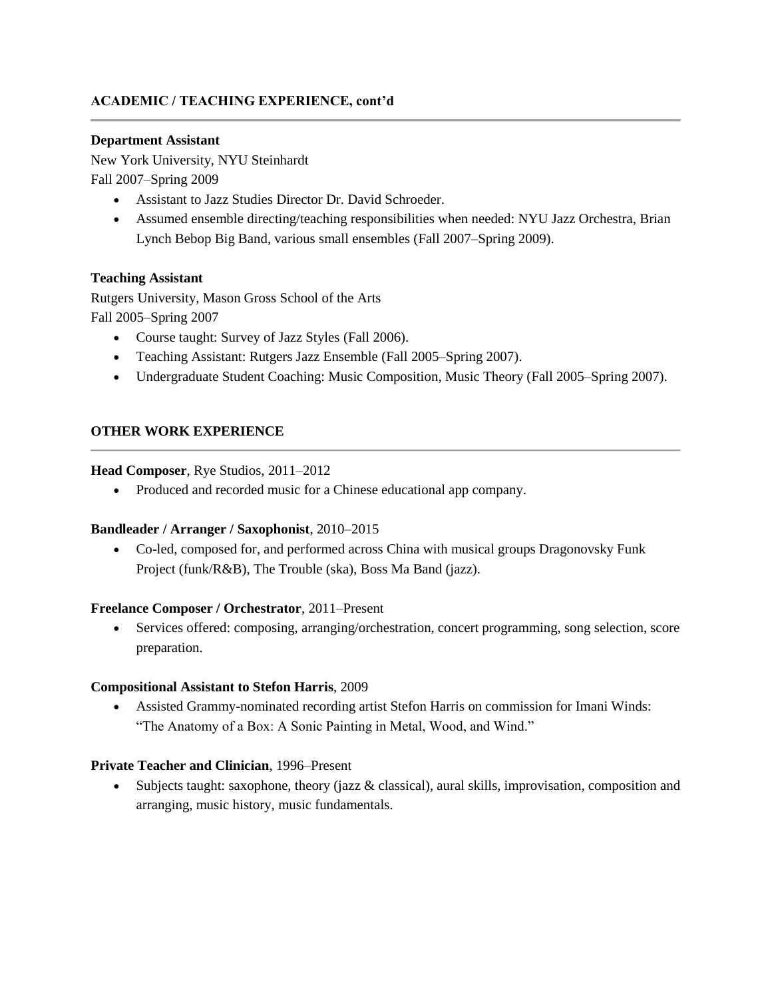# **ACADEMIC / TEACHING EXPERIENCE, cont'd**

#### **Department Assistant**

New York University, NYU Steinhardt Fall 2007–Spring 2009

- Assistant to Jazz Studies Director Dr. David Schroeder.
- Assumed ensemble directing/teaching responsibilities when needed: NYU Jazz Orchestra, Brian Lynch Bebop Big Band, various small ensembles (Fall 2007–Spring 2009).

### **Teaching Assistant**

Rutgers University, Mason Gross School of the Arts Fall 2005–Spring 2007

- Course taught: Survey of Jazz Styles (Fall 2006).
- Teaching Assistant: Rutgers Jazz Ensemble (Fall 2005–Spring 2007).
- Undergraduate Student Coaching: Music Composition, Music Theory (Fall 2005–Spring 2007).

#### **OTHER WORK EXPERIENCE**

#### **Head Composer**, Rye Studios, 2011–2012

• Produced and recorded music for a Chinese educational app company.

#### **Bandleader / Arranger / Saxophonist**, 2010–2015

• Co-led, composed for, and performed across China with musical groups Dragonovsky Funk Project (funk/R&B), The Trouble (ska), Boss Ma Band (jazz).

#### **Freelance Composer / Orchestrator**, 2011–Present

• Services offered: composing, arranging/orchestration, concert programming, song selection, score preparation.

#### **Compositional Assistant to Stefon Harris**, 2009

• Assisted Grammy-nominated recording artist Stefon Harris on commission for Imani Winds: "The Anatomy of a Box: A Sonic Painting in Metal, Wood, and Wind."

#### **Private Teacher and Clinician**, 1996–Present

• Subjects taught: saxophone, theory (jazz & classical), aural skills, improvisation, composition and arranging, music history, music fundamentals.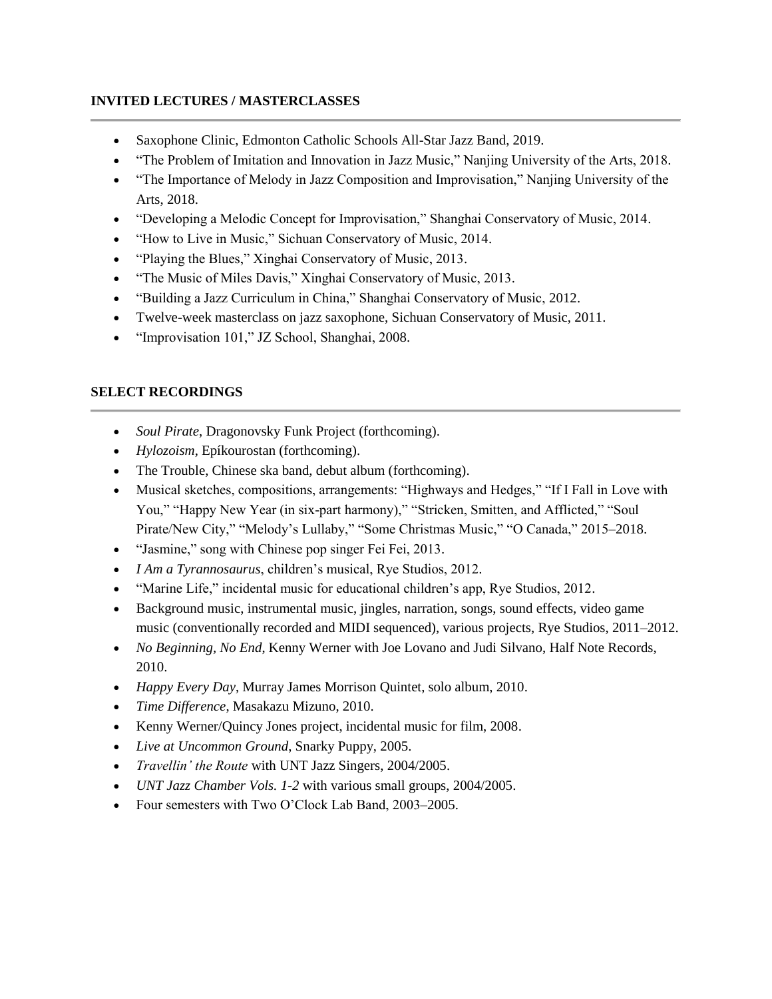# **INVITED LECTURES / MASTERCLASSES**

- Saxophone Clinic, Edmonton Catholic Schools All-Star Jazz Band, 2019.
- "The Problem of Imitation and Innovation in Jazz Music," Nanjing University of the Arts, 2018.
- "The Importance of Melody in Jazz Composition and Improvisation," Nanjing University of the Arts, 2018.
- "Developing a Melodic Concept for Improvisation," Shanghai Conservatory of Music, 2014.
- "How to Live in Music," Sichuan Conservatory of Music, 2014.
- "Playing the Blues," Xinghai Conservatory of Music, 2013.
- "The Music of Miles Davis," Xinghai Conservatory of Music, 2013.
- "Building a Jazz Curriculum in China," Shanghai Conservatory of Music, 2012.
- Twelve-week masterclass on jazz saxophone, Sichuan Conservatory of Music, 2011.
- "Improvisation 101," JZ School, Shanghai, 2008.

# **SELECT RECORDINGS**

- *Soul Pirate*, Dragonovsky Funk Project (forthcoming).
- *Hylozoism*, Epíkourostan (forthcoming).
- The Trouble, Chinese ska band, debut album (forthcoming).
- Musical sketches, compositions, arrangements: "Highways and Hedges," "If I Fall in Love with You," "Happy New Year (in six-part harmony)," "Stricken, Smitten, and Afflicted," "Soul Pirate/New City," "Melody's Lullaby," "Some Christmas Music," "O Canada," 2015–2018.
- "Jasmine," song with Chinese pop singer Fei Fei, 2013.
- *I Am a Tyrannosaurus*, children's musical, Rye Studios, 2012.
- "Marine Life," incidental music for educational children's app, Rye Studios, 2012.
- Background music, instrumental music, jingles, narration, songs, sound effects, video game music (conventionally recorded and MIDI sequenced), various projects, Rye Studios, 2011–2012.
- *No Beginning, No End*, Kenny Werner with Joe Lovano and Judi Silvano, Half Note Records, 2010.
- *Happy Every Day*, Murray James Morrison Quintet, solo album, 2010.
- *Time Difference*, Masakazu Mizuno, 2010.
- Kenny Werner/Quincy Jones project, incidental music for film, 2008.
- *Live at Uncommon Ground*, Snarky Puppy, 2005.
- *Travellin' the Route* with UNT Jazz Singers, 2004/2005.
- *UNT Jazz Chamber Vols. 1-2* with various small groups, 2004/2005.
- Four semesters with Two O'Clock Lab Band, 2003–2005.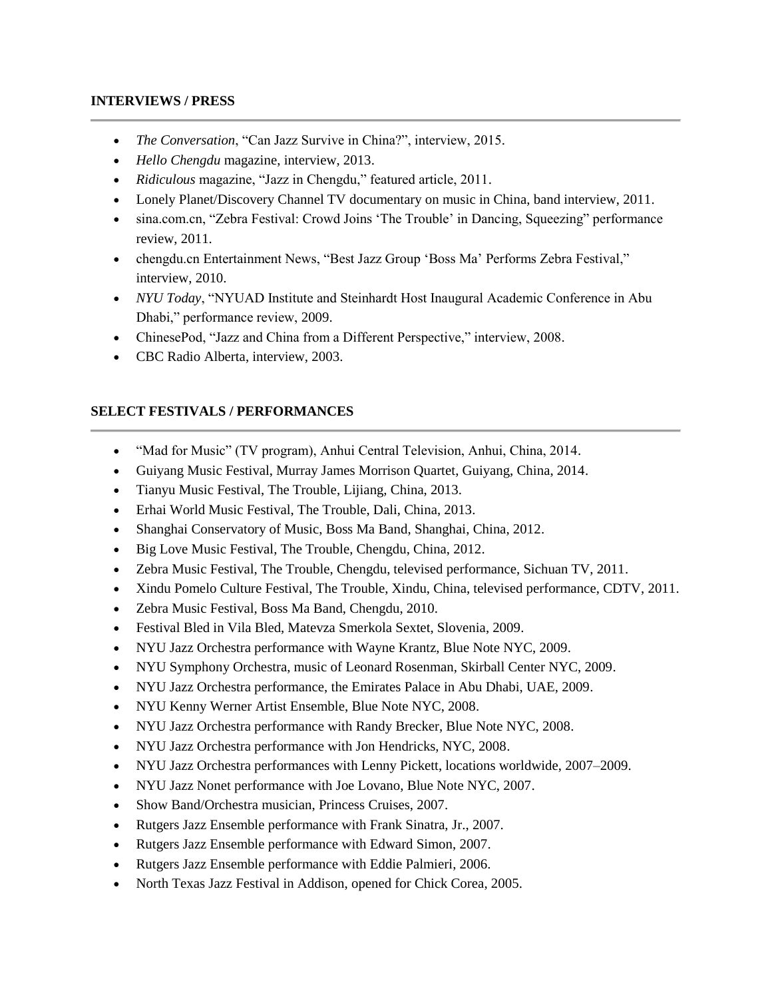#### **INTERVIEWS / PRESS**

- *The Conversation*, "Can Jazz Survive in China?", interview, 2015.
- *Hello Chengdu* magazine, interview, 2013.
- *Ridiculous* magazine, "Jazz in Chengdu," featured article, 2011.
- Lonely Planet/Discovery Channel TV documentary on music in China, band interview, 2011.
- sina.com.cn, "Zebra Festival: Crowd Joins 'The Trouble' in Dancing, Squeezing" performance review, 2011.
- chengdu.cn Entertainment News, "Best Jazz Group 'Boss Ma' Performs Zebra Festival," interview, 2010.
- *NYU Today*, "NYUAD Institute and Steinhardt Host Inaugural Academic Conference in Abu Dhabi," performance review, 2009.
- ChinesePod, "Jazz and China from a Different Perspective," interview, 2008.
- CBC Radio Alberta, interview, 2003.

#### **SELECT FESTIVALS / PERFORMANCES**

- "Mad for Music" (TV program), Anhui Central Television, Anhui, China, 2014.
- Guiyang Music Festival, Murray James Morrison Quartet, Guiyang, China, 2014.
- Tianyu Music Festival, The Trouble, Lijiang, China, 2013.
- Erhai World Music Festival, The Trouble, Dali, China, 2013.
- Shanghai Conservatory of Music, Boss Ma Band, Shanghai, China, 2012.
- Big Love Music Festival, The Trouble, Chengdu, China, 2012.
- Zebra Music Festival, The Trouble, Chengdu, televised performance, Sichuan TV, 2011.
- Xindu Pomelo Culture Festival, The Trouble, Xindu, China, televised performance, CDTV, 2011.
- Zebra Music Festival, Boss Ma Band, Chengdu, 2010.
- Festival Bled in Vila Bled, Matevza Smerkola Sextet, Slovenia, 2009.
- NYU Jazz Orchestra performance with Wayne Krantz, Blue Note NYC, 2009.
- NYU Symphony Orchestra, music of Leonard Rosenman, Skirball Center NYC, 2009.
- NYU Jazz Orchestra performance, the Emirates Palace in Abu Dhabi, UAE, 2009.
- NYU Kenny Werner Artist Ensemble, Blue Note NYC, 2008.
- NYU Jazz Orchestra performance with Randy Brecker, Blue Note NYC, 2008.
- NYU Jazz Orchestra performance with Jon Hendricks, NYC, 2008.
- NYU Jazz Orchestra performances with Lenny Pickett, locations worldwide, 2007–2009.
- NYU Jazz Nonet performance with Joe Lovano, Blue Note NYC, 2007.
- Show Band/Orchestra musician, Princess Cruises, 2007.
- Rutgers Jazz Ensemble performance with Frank Sinatra, Jr., 2007.
- Rutgers Jazz Ensemble performance with Edward Simon, 2007.
- Rutgers Jazz Ensemble performance with Eddie Palmieri, 2006.
- North Texas Jazz Festival in Addison, opened for Chick Corea, 2005.